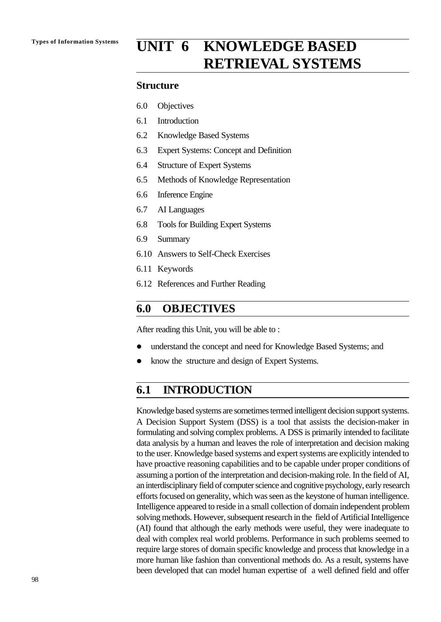# **Types of Information Systems UNIT 6 KNOWLEDGE BASED RETRIEVAL SYSTEMS**

### **Structure**

- 6.0 Objectives
- 6.1 Introduction
- 6.2 Knowledge Based Systems
- 6.3 Expert Systems: Concept and Definition
- 6.4 Structure of Expert Systems
- 6.5 Methods of Knowledge Representation
- 6.6 Inference Engine
- 6.7 AI Languages
- 6.8 Tools for Building Expert Systems
- 6.9 Summary
- 6.10 Answers to Self-Check Exercises
- 6.11 Keywords
- 6.12 References and Further Reading

# **6.0 OBJECTIVES**

After reading this Unit, you will be able to :

- understand the concept and need for Knowledge Based Systems; and
- know the structure and design of Expert Systems.

# **6.1 INTRODUCTION**

Knowledge based systems are sometimes termed intelligent decision support systems. A Decision Support System (DSS) is a tool that assists the decision-maker in formulating and solving complex problems. A DSS is primarily intended to facilitate data analysis by a human and leaves the role of interpretation and decision making to the user. Knowledge based systems and expert systems are explicitly intended to have proactive reasoning capabilities and to be capable under proper conditions of assuming a portion of the interpretation and decision-making role. In the field of AI, an interdisciplinary field of computer science and cognitive psychology, early research efforts focused on generality, which was seen as the keystone of human intelligence. Intelligence appeared to reside in a small collection of domain independent problem solving methods. However, subsequent research in the field of Artificial Intelligence (AI) found that although the early methods were useful, they were inadequate to deal with complex real world problems. Performance in such problems seemed to require large stores of domain specific knowledge and process that knowledge in a more human like fashion than conventional methods do. As a result, systems have been developed that can model human expertise of a well defined field and offer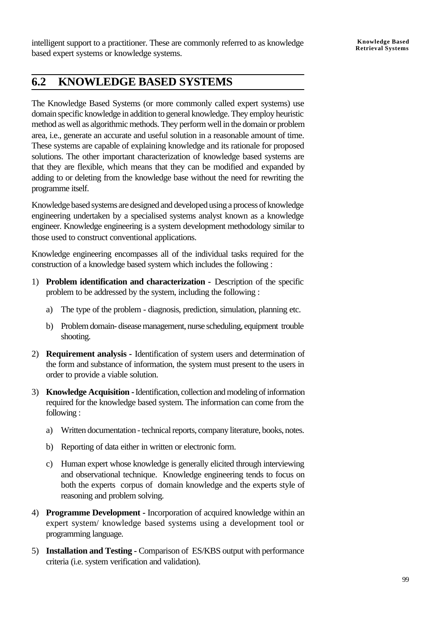intelligent support to a practitioner. These are commonly referred to as knowledge based expert systems or knowledge systems.

# **6.2 KNOWLEDGE BASED SYSTEMS**

The Knowledge Based Systems (or more commonly called expert systems) use domain specific knowledge in addition to general knowledge. They employ heuristic method as well as algorithmic methods. They perform well in the domain or problem area, i.e., generate an accurate and useful solution in a reasonable amount of time. These systems are capable of explaining knowledge and its rationale for proposed solutions. The other important characterization of knowledge based systems are that they are flexible, which means that they can be modified and expanded by adding to or deleting from the knowledge base without the need for rewriting the programme itself.

Knowledge based systems are designed and developed using a process of knowledge engineering undertaken by a specialised systems analyst known as a knowledge engineer. Knowledge engineering is a system development methodology similar to those used to construct conventional applications.

Knowledge engineering encompasses all of the individual tasks required for the construction of a knowledge based system which includes the following :

- 1) **Problem identification and characterization** Description of the specific problem to be addressed by the system, including the following :
	- a) The type of the problem diagnosis, prediction, simulation, planning etc.
	- b) Problem domain- disease management, nurse scheduling, equipment trouble shooting.
- 2) **Requirement analysis** Identification of system users and determination of the form and substance of information, the system must present to the users in order to provide a viable solution.
- 3) **Knowledge Acquisition** Identification, collection and modeling of information required for the knowledge based system. The information can come from the following :
	- a) Written documentation technical reports, company literature, books, notes.
	- b) Reporting of data either in written or electronic form.
	- c) Human expert whose knowledge is generally elicited through interviewing and observational technique. Knowledge engineering tends to focus on both the experts corpus of domain knowledge and the experts style of reasoning and problem solving.
- 4) **Programme Development** Incorporation of acquired knowledge within an expert system/ knowledge based systems using a development tool or programming language.
- 5) **Installation and Testing** Comparison of ES/KBS output with performance criteria (i.e. system verification and validation).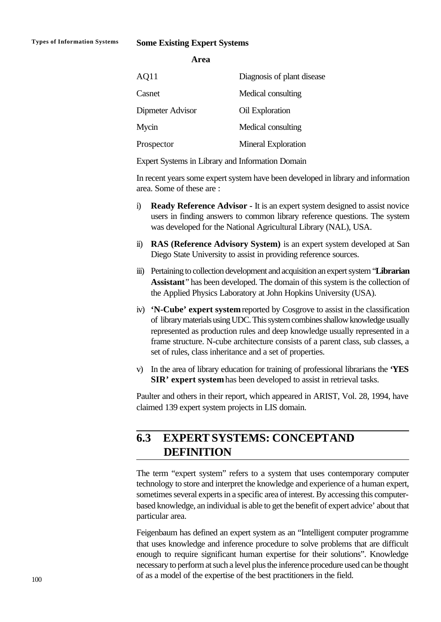### **Types of Information Systems Some Existing Expert Systems**

**Area**

| AQ11             | Diagnosis of plant disease |
|------------------|----------------------------|
| Casnet           | Medical consulting         |
| Dipmeter Advisor | Oil Exploration            |
| Mycin            | Medical consulting         |
| Prospector       | Mineral Exploration        |
|                  |                            |

Expert Systems in Library and Information Domain

In recent years some expert system have been developed in library and information area. Some of these are :

- i) **Ready Reference Advisor** It is an expert system designed to assist novice users in finding answers to common library reference questions. The system was developed for the National Agricultural Library (NAL), USA.
- ii) **RAS (Reference Advisory System)** is an expert system developed at San Diego State University to assist in providing reference sources.
- iii) Pertaining to collection development and acquisition an expert system "**Librarian Assistant**" has been developed. The domain of this system is the collection of the Applied Physics Laboratory at John Hopkins University (USA).
- iv) **'N-Cube' expert system** reported by Cosgrove to assist in the classification of library materials using UDC. This system combines shallow knowledge usually represented as production rules and deep knowledge usually represented in a frame structure. N-cube architecture consists of a parent class, sub classes, a set of rules, class inheritance and a set of properties.
- v) In the area of library education for training of professional librarians the **'YES SIR' expert system** has been developed to assist in retrieval tasks.

Paulter and others in their report, which appeared in ARIST, Vol. 28, 1994, have claimed 139 expert system projects in LIS domain.

# **6.3 EXPERT SYSTEMS: CONCEPTAND DEFINITION**

The term "expert system" refers to a system that uses contemporary computer technology to store and interpret the knowledge and experience of a human expert, sometimes several experts in a specific area of interest. By accessing this computerbased knowledge, an individual is able to get the benefit of expert advice' about that particular area.

Feigenbaum has defined an expert system as an "Intelligent computer programme that uses knowledge and inference procedure to solve problems that are difficult enough to require significant human expertise for their solutions". Knowledge necessary to perform at such a level plus the inference procedure used can be thought of as a model of the expertise of the best practitioners in the field.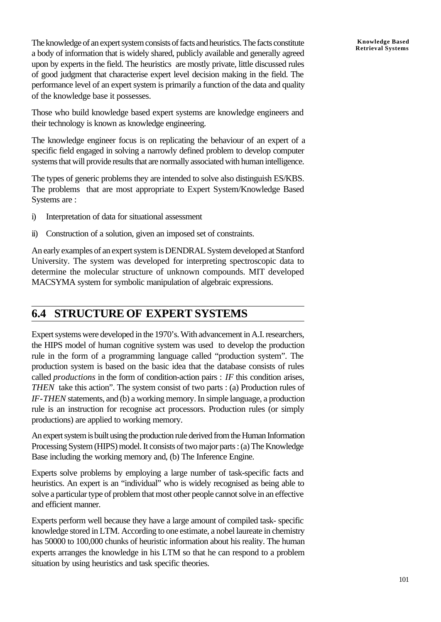The knowledge of an expert system consists of facts and heuristics. The facts constitute a body of information that is widely shared, publicly available and generally agreed upon by experts in the field. The heuristics are mostly private, little discussed rules of good judgment that characterise expert level decision making in the field. The performance level of an expert system is primarily a function of the data and quality of the knowledge base it possesses.

Those who build knowledge based expert systems are knowledge engineers and their technology is known as knowledge engineering.

The knowledge engineer focus is on replicating the behaviour of an expert of a specific field engaged in solving a narrowly defined problem to develop computer systems that will provide results that are normally associated with human intelligence.

The types of generic problems they are intended to solve also distinguish ES/KBS. The problems that are most appropriate to Expert System/Knowledge Based Systems are :

- i) Interpretation of data for situational assessment
- ii) Construction of a solution, given an imposed set of constraints.

An early examples of an expert system is DENDRAL System developed at Stanford University. The system was developed for interpreting spectroscopic data to determine the molecular structure of unknown compounds. MIT developed MACSYMA system for symbolic manipulation of algebraic expressions.

# **6.4 STRUCTURE OF EXPERT SYSTEMS**

Expert systems were developed in the 1970's. With advancement in A.I. researchers, the HIPS model of human cognitive system was used to develop the production rule in the form of a programming language called "production system". The production system is based on the basic idea that the database consists of rules called *productions* in the form of condition-action pairs : *IF* this condition arises, *THEN* take this action". The system consist of two parts : (a) Production rules of *IF*-*THEN* statements, and (b) a working memory. In simple language, a production rule is an instruction for recognise act processors. Production rules (or simply productions) are applied to working memory.

An expert system is built using the production rule derived from the Human Information Processing System (HIPS) model. It consists of two major parts : (a) The Knowledge Base including the working memory and, (b) The Inference Engine.

Experts solve problems by employing a large number of task-specific facts and heuristics. An expert is an "individual" who is widely recognised as being able to solve a particular type of problem that most other people cannot solve in an effective and efficient manner.

Experts perform well because they have a large amount of compiled task- specific knowledge stored in LTM. According to one estimate, a nobel laureate in chemistry has 50000 to 100,000 chunks of heuristic information about his reality. The human experts arranges the knowledge in his LTM so that he can respond to a problem situation by using heuristics and task specific theories.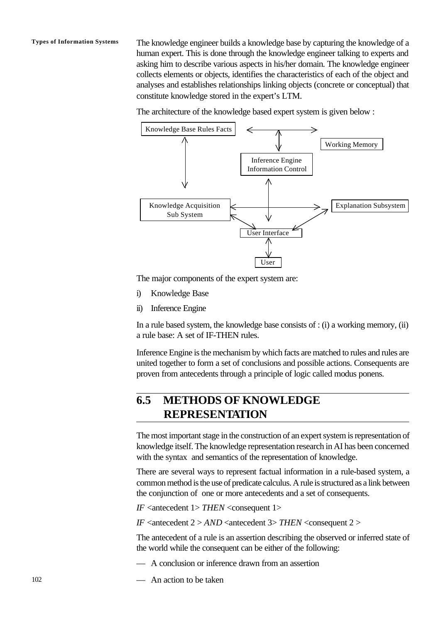**Types of Information Systems** The knowledge engineer builds a knowledge base by capturing the knowledge of a human expert. This is done through the knowledge engineer talking to experts and asking him to describe various aspects in his/her domain. The knowledge engineer collects elements or objects, identifies the characteristics of each of the object and analyses and establishes relationships linking objects (concrete or conceptual) that constitute knowledge stored in the expert's LTM.

The architecture of the knowledge based expert system is given below :



The major components of the expert system are:

- i) Knowledge Base
- ii) Inference Engine

In a rule based system, the knowledge base consists of : (i) a working memory, (ii) a rule base: A set of IF-THEN rules.

Inference Engine is the mechanism by which facts are matched to rules and rules are united together to form a set of conclusions and possible actions. Consequents are proven from antecedents through a principle of logic called modus ponens.

# **6.5 METHODS OF KNOWLEDGE REPRESENTATION**

The most important stage in the construction of an expert system is representation of knowledge itself. The knowledge representation research in AI has been concerned with the syntax and semantics of the representation of knowledge.

There are several ways to represent factual information in a rule-based system, a common method is the use of predicate calculus. A rule is structured as a link between the conjunction of one or more antecedents and a set of consequents.

*IF* <antecedent 1> *THEN* <consequent 1>

*IF* <antecedent 2 > *AND* <antecedent 3> *THEN* <consequent 2 >

The antecedent of a rule is an assertion describing the observed or inferred state of the world while the consequent can be either of the following:

— A conclusion or inference drawn from an assertion

— An action to be taken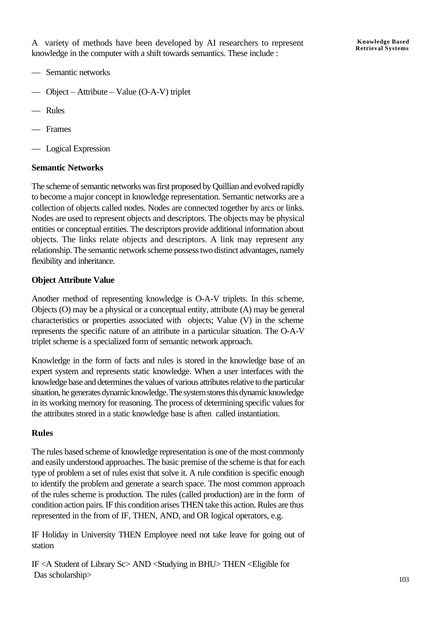A variety of methods have been developed by AI researchers to represent knowledge in the computer with a shift towards semantics. These include :

**Knowledge Based Retrieval Systems**

- Semantic networks
- Object Attribute Value (O-A-V) triplet
- Rules
- Frames
- Logical Expression

### **Semantic Networks**

The scheme of semantic networks was first proposed by Quillian and evolved rapidly to become a major concept in knowledge representation. Semantic networks are a collection of objects called nodes. Nodes are connected together by arcs or links. Nodes are used to represent objects and descriptors. The objects may be physical entities or conceptual entities. The descriptors provide additional information about objects. The links relate objects and descriptors. A link may represent any relationship. The semantic network scheme possess two distinct advantages, namely flexibility and inheritance.

### **Object Attribute Value**

Another method of representing knowledge is O-A-V triplets. In this scheme, Objects (O) may be a physical or a conceptual entity, attribute (A) may be general characteristics or properties associated with objects; Value (V) in the scheme represents the specific nature of an attribute in a particular situation. The O-A-V triplet scheme is a specialized form of semantic network approach.

Knowledge in the form of facts and rules is stored in the knowledge base of an expert system and represents static knowledge. When a user interfaces with the knowledge base and determines the values of various attributes relative to the particular situation, he generates dynamic knowledge. The system stores this dynamic knowledge in its working memory for reasoning. The process of determining specific values for the attributes stored in a static knowledge base is aften called instantiation.

### **Rules**

The rules based scheme of knowledge representation is one of the most commonly and easily understood approaches. The basic premise of the scheme is that for each type of problem a set of rules exist that solve it. A rule condition is specific enough to identify the problem and generate a search space. The most common approach of the rules scheme is production. The rules (called production) are in the form of condition action pairs. IF this condition arises THEN take this action. Rules are thus represented in the from of IF, THEN, AND, and OR logical operators, e.g.

IF Holiday in University THEN Employee need not take leave for going out of station

IF <A Student of Library Sc> AND <Studying in BHU> THEN <Eligible for Das scholarship>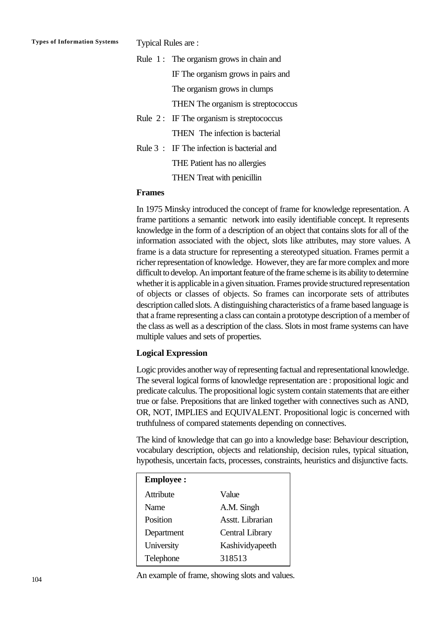| Rule $1:$ The organism grows in chain and  |  |
|--------------------------------------------|--|
| IF The organism grows in pairs and         |  |
| The organism grows in clumps               |  |
| THEN The organism is streptococcus         |  |
| Rule $2:$ IF The organism is streptococcus |  |
| THEN The infection is bacterial            |  |
| Rule 3: IF The infection is bacterial and  |  |
| THE Patient has no allergies               |  |
| <b>THEN</b> Treat with penicillin          |  |

#### **Frames**

In 1975 Minsky introduced the concept of frame for knowledge representation. A frame partitions a semantic network into easily identifiable concept. It represents knowledge in the form of a description of an object that contains slots for all of the information associated with the object, slots like attributes, may store values. A frame is a data structure for representing a stereotyped situation. Frames permit a richer representation of knowledge. However, they are far more complex and more difficult to develop. An important feature of the frame scheme is its ability to determine whether it is applicable in a given situation. Frames provide structured representation of objects or classes of objects. So frames can incorporate sets of attributes description called slots. A distinguishing characteristics of a frame based language is that a frame representing a class can contain a prototype description of a member of the class as well as a description of the class. Slots in most frame systems can have multiple values and sets of properties.

### **Logical Expression**

Logic provides another way of representing factual and representational knowledge. The several logical forms of knowledge representation are : propositional logic and predicate calculus. The propositional logic system contain statements that are either true or false. Prepositions that are linked together with connectives such as AND, OR, NOT, IMPLIES and EQUIVALENT. Propositional logic is concerned with truthfulness of compared statements depending on connectives.

The kind of knowledge that can go into a knowledge base: Behaviour description, vocabulary description, objects and relationship, decision rules, typical situation, hypothesis, uncertain facts, processes, constraints, heuristics and disjunctive facts.

| <b>Employee:</b> |                        |
|------------------|------------------------|
| Attribute        | Value                  |
| Name             | A.M. Singh             |
| Position         | Asstt. Librarian       |
| Department       | <b>Central Library</b> |
| University       | Kashividyapeeth        |
| Telephone        | 318513                 |

An example of frame, showing slots and values.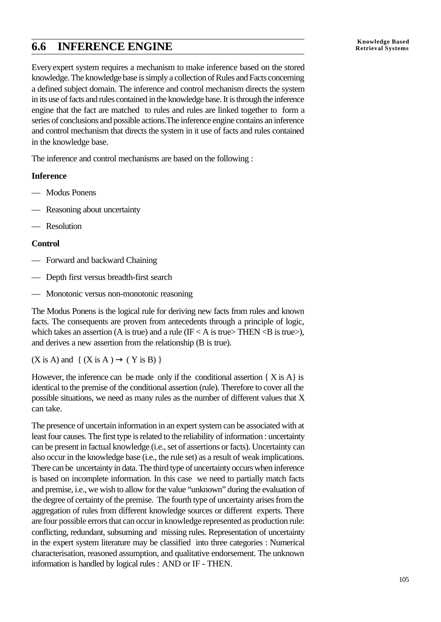# **Knowledge Based 6.6 INFERENCE ENGINE Retrieval Systems**

Everyexpert system requires a mechanism to make inference based on the stored knowledge. The knowledge base is simply a collection of Rules and Facts concerning a defined subject domain. The inference and control mechanism directs the system in its use of facts and rules contained in the knowledge base. It is through the inference engine that the fact are matched to rules and rules are linked together to form a series of conclusions and possible actions.The inference engine contains an inference and control mechanism that directs the system in it use of facts and rules contained in the knowledge base.

The inference and control mechanisms are based on the following :

## **Inference**

- Modus Ponens
- Reasoning about uncertainty
- Resolution

## **Control**

- Forward and backward Chaining
- Depth first versus breadth-first search
- Monotonic versus non-monotonic reasoning

The Modus Ponens is the logical rule for deriving new facts from rules and known facts. The consequents are proven from antecedents through a principle of logic, which takes an assertion (A is true) and a rule (IF  $\lt$  A is true  $\lt$ THEN  $\lt$ B is true  $>$ ), and derives a new assertion from the relationship (B is true).

 $(X \text{ is } A)$  and  $\{ (X \text{ is } A) \rightarrow (Y \text{ is } B) \}$ 

However, the inference can be made only if the conditional assertion  $\{ X \in A \}$  is identical to the premise of the conditional assertion (rule). Therefore to cover all the possible situations, we need as many rules as the number of different values that X can take.

The presence of uncertain information in an expert system can be associated with at least four causes. The first type is related to the reliability of information : uncertainty can be present in factual knowledge (i.e., set of assertions or facts). Uncertainty can also occur in the knowledge base (i.e., the rule set) as a result of weak implications. There can be uncertainty in data. The third type of uncertainty occurs when inference is based on incomplete information. In this case we need to partially match facts and premise, i.e., we wish to allow for the value "unknown" during the evaluation of the degree of certainty of the premise. The fourth type of uncertainty arises from the aggregation of rules from different knowledge sources or different experts. There are four possible errors that can occur in knowledge represented as production rule: conflicting, redundant, subsuming and missing rules. Representation of uncertainty in the expert system literature may be classified into three categories : Numerical characterisation, reasoned assumption, and qualitative endorsement. The unknown information is handled by logical rules : AND or IF - THEN.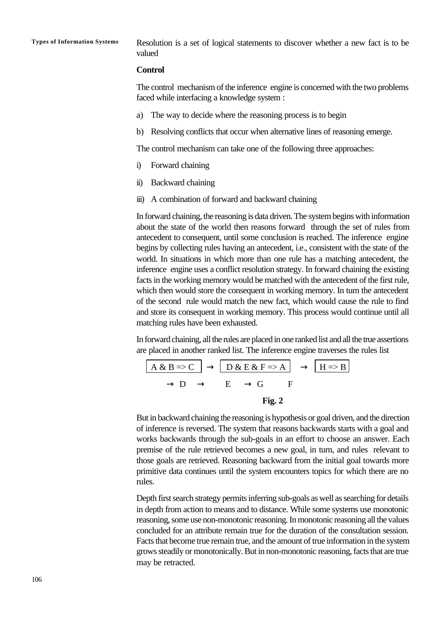**Types of Information Systems** Resolution is a set of logical statements to discover whether a new fact is to be valued

#### **Control**

The control mechanism of the inference engine is concerned with the two problems faced while interfacing a knowledge system :

- a) The way to decide where the reasoning process is to begin
- b) Resolving conflicts that occur when alternative lines of reasoning emerge.

The control mechanism can take one of the following three approaches:

- i) Forward chaining
- ii) Backward chaining
- iii) A combination of forward and backward chaining

In forward chaining, the reasoning is data driven. The system begins with information about the state of the world then reasons forward through the set of rules from antecedent to consequent, until some conclusion is reached. The inference engine begins by collecting rules having an antecedent, i.e., consistent with the state of the world. In situations in which more than one rule has a matching antecedent, the inference engine uses a conflict resolution strategy. In forward chaining the existing facts in the working memory would be matched with the antecedent of the first rule, which then would store the consequent in working memory. In turn the antecedent of the second rule would match the new fact, which would cause the rule to find and store its consequent in working memory. This process would continue until all matching rules have been exhausted.

In forward chaining, all the rules are placed in one ranked list and all the true assertions are placed in another ranked list. The inference engine traverses the rules list

$$
\overline{A \& B \Rightarrow C} \rightarrow D \& E \& F \Rightarrow A \rightarrow H \Rightarrow B
$$
  
\n
$$
\rightarrow D \rightarrow E \rightarrow G \qquad F
$$
  
\nFig. 2

But in backward chaining the reasoning is hypothesis or goal driven, and the direction of inference is reversed. The system that reasons backwards starts with a goal and works backwards through the sub-goals in an effort to choose an answer. Each premise of the rule retrieved becomes a new goal, in turn, and rules relevant to those goals are retrieved. Reasoning backward from the initial goal towards more primitive data continues until the system encounters topics for which there are no rules.

Depth first search strategy permits inferring sub-goals as well as searching for details in depth from action to means and to distance. While some systems use monotonic reasoning, some use non-monotonic reasoning. In monotonic reasoning all the values concluded for an attribute remain true for the duration of the consultation session. Facts that become true remain true, and the amount of true information in the system grows steadily or monotonically. But in non-monotonic reasoning, facts that are true may be retracted.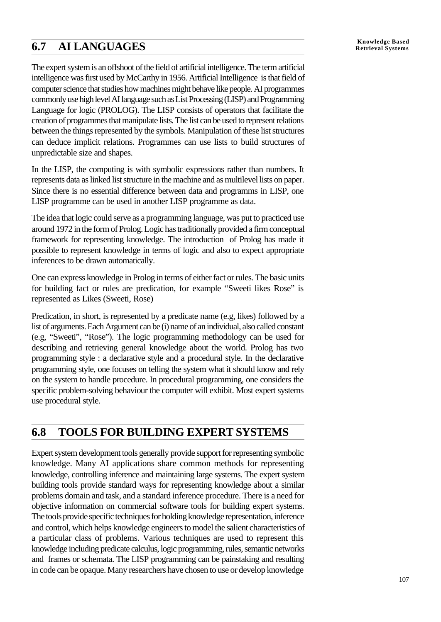# **Knowledge Based 6.7 AI LANGUAGES Retrieval Systems**

The expert system is an offshoot of the field of artificial intelligence. The term artificial intelligence was first used by McCarthy in 1956. Artificial Intelligence is that field of computer science that studies how machines might behave like people. AI programmes commonly use high level AI language such as List Processing (LISP) and Programming Language for logic (PROLOG). The LISP consists of operators that facilitate the creation of programmes that manipulate lists. The list can be used to represent relations between the things represented by the symbols. Manipulation of these list structures can deduce implicit relations. Programmes can use lists to build structures of unpredictable size and shapes.

In the LISP, the computing is with symbolic expressions rather than numbers. It represents data as linked list structure in the machine and as multilevel lists on paper. Since there is no essential difference between data and programms in LISP, one LISP programme can be used in another LISP programme as data.

The idea that logic could serve as a programming language, was put to practiced use around 1972 in the form of Prolog. Logic has traditionally provided a firm conceptual framework for representing knowledge. The introduction of Prolog has made it possible to represent knowledge in terms of logic and also to expect appropriate inferences to be drawn automatically.

One can express knowledge in Prolog in terms of either fact or rules. The basic units for building fact or rules are predication, for example "Sweeti likes Rose" is represented as Likes (Sweeti, Rose)

Predication, in short, is represented by a predicate name (e.g, likes) followed by a list of arguments. Each Argument can be (i) name of an individual, also called constant (e.g, "Sweeti", "Rose"). The logic programming methodology can be used for describing and retrieving general knowledge about the world. Prolog has two programming style : a declarative style and a procedural style. In the declarative programming style, one focuses on telling the system what it should know and rely on the system to handle procedure. In procedural programming, one considers the specific problem-solving behaviour the computer will exhibit. Most expert systems use procedural style.

# **6.8 TOOLS FOR BUILDING EXPERT SYSTEMS**

Expert system development tools generally provide support for representing symbolic knowledge. Many AI applications share common methods for representing knowledge, controlling inference and maintaining large systems. The expert system building tools provide standard ways for representing knowledge about a similar problems domain and task, and a standard inference procedure. There is a need for objective information on commercial software tools for building expert systems. The tools provide specific techniques for holding knowledge representation, inference and control, which helps knowledge engineers to model the salient characteristics of a particular class of problems. Various techniques are used to represent this knowledge including predicate calculus, logic programming, rules, semantic networks and frames or schemata. The LISP programming can be painstaking and resulting in code can be opaque. Many researchers have chosen to use or develop knowledge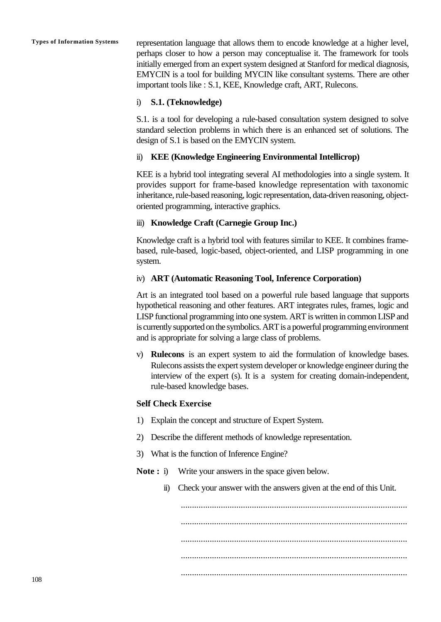**Types of Information Systems** representation language that allows them to encode knowledge at a higher level, perhaps closer to how a person may conceptualise it. The framework for tools initially emerged from an expert system designed at Stanford for medical diagnosis, EMYCIN is a tool for building MYCIN like consultant systems. There are other important tools like : S.1, KEE, Knowledge craft, ART, Rulecons.

## i) **S.1. (Teknowledge)**

S.1. is a tool for developing a rule-based consultation system designed to solve standard selection problems in which there is an enhanced set of solutions. The design of S.1 is based on the EMYCIN system.

## ii) **KEE (Knowledge Engineering Environmental Intellicrop)**

KEE is a hybrid tool integrating several AI methodologies into a single system. It provides support for frame-based knowledge representation with taxonomic inheritance, rule-based reasoning, logic representation, data-driven reasoning, objectoriented programming, interactive graphics.

## iii) **Knowledge Craft (Carnegie Group Inc.)**

Knowledge craft is a hybrid tool with features similar to KEE. It combines framebased, rule-based, logic-based, object-oriented, and LISP programming in one system.

## iv) **ART (Automatic Reasoning Tool, Inference Corporation)**

Art is an integrated tool based on a powerful rule based language that supports hypothetical reasoning and other features. ART integrates rules, frames, logic and LISP functional programming into one system. ART is written in common LISP and is currently supported on the symbolics. ART is a powerful programming environment and is appropriate for solving a large class of problems.

v) **Rulecons** is an expert system to aid the formulation of knowledge bases. Rulecons assists the expert system developer or knowledge engineer during the interview of the expert (s). It is a system for creating domain-independent, rule-based knowledge bases.

## **Self Check Exercise**

- 1) Explain the concept and structure of Expert System.
- 2) Describe the different methods of knowledge representation.
- 3) What is the function of Inference Engine?
- **Note :** i) Write your answers in the space given below.
	- ii) Check your answer with the answers given at the end of this Unit.

...................................................................................................... ...................................................................................................... ...................................................................................................... ...................................................................................................... ......................................................................................................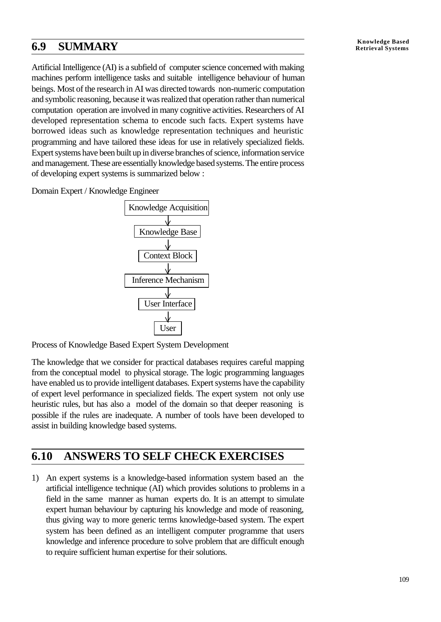# **Knowledge Based 6.9 SUMMARY Retrieval Systems**

Artificial Intelligence (AI) is a subfield of computer science concerned with making machines perform intelligence tasks and suitable intelligence behaviour of human beings. Most of the research in AI was directed towards non-numeric computation and symbolic reasoning, because it was realized that operation rather than numerical computation operation are involved in many cognitive activities. Researchers of AI developed representation schema to encode such facts. Expert systems have borrowed ideas such as knowledge representation techniques and heuristic programming and have tailored these ideas for use in relatively specialized fields. Expert systems have been built up in diverse branches of science, information service and management. These are essentially knowledge based systems. The entire process of developing expert systems is summarized below :

Domain Expert / Knowledge Engineer



Process of Knowledge Based Expert System Development

The knowledge that we consider for practical databases requires careful mapping from the conceptual model to physical storage. The logic programming languages have enabled us to provide intelligent databases. Expert systems have the capability of expert level performance in specialized fields. The expert system not only use heuristic rules, but has also a model of the domain so that deeper reasoning is possible if the rules are inadequate. A number of tools have been developed to assist in building knowledge based systems.

# **6.10 ANSWERS TO SELF CHECK EXERCISES**

1) An expert systems is a knowledge-based information system based an the artificial intelligence technique (AI) which provides solutions to problems in a field in the same manner as human experts do. It is an attempt to simulate expert human behaviour by capturing his knowledge and mode of reasoning, thus giving way to more generic terms knowledge-based system. The expert system has been defined as an intelligent computer programme that users knowledge and inference procedure to solve problem that are difficult enough to require sufficient human expertise for their solutions.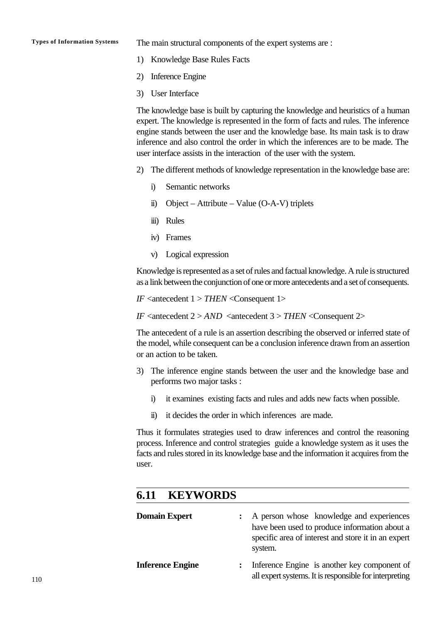**Types of Information Systems** The main structural components of the expert systems are :

- 1) Knowledge Base Rules Facts
- 2) Inference Engine
- 3) User Interface

The knowledge base is built by capturing the knowledge and heuristics of a human expert. The knowledge is represented in the form of facts and rules. The inference engine stands between the user and the knowledge base. Its main task is to draw inference and also control the order in which the inferences are to be made. The user interface assists in the interaction of the user with the system.

- 2) The different methods of knowledge representation in the knowledge base are:
	- i) Semantic networks
	- ii) Object Attribute Value (O-A-V) triplets
	- iii) Rules
	- iv) Frames
	- v) Logical expression

Knowledge is represented as a set of rules and factual knowledge. A rule is structured as a link between the conjunction of one or more antecedents and a set of consequents.

*IF* <antecedent 1 > *THEN* <Consequent 1>

*IF* <antecedent 2 > *AND* <antecedent 3 > *THEN* <Consequent 2>

The antecedent of a rule is an assertion describing the observed or inferred state of the model, while consequent can be a conclusion inference drawn from an assertion or an action to be taken.

- 3) The inference engine stands between the user and the knowledge base and performs two major tasks :
	- i) it examines existing facts and rules and adds new facts when possible.
	- ii) it decides the order in which inferences are made.

Thus it formulates strategies used to draw inferences and control the reasoning process. Inference and control strategies guide a knowledge system as it uses the facts and rules stored in its knowledge base and the information it acquires from the user.

# **6.11 KEYWORDS Domain Expert** : A person whose knowledge and experiences have been used to produce information about a specific area of interest and store it in an expert system. **Inference Engine :** Inference Engine is another key component of all expert systems. It is responsible for interpreting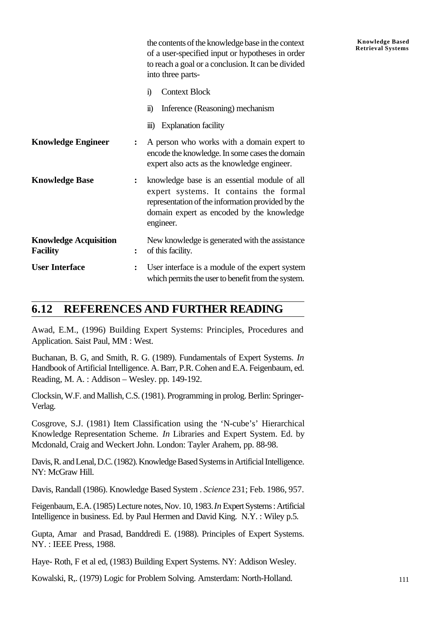|                                                 |                | the contents of the knowledge base in the context<br>of a user-specified input or hypotheses in order<br>to reach a goal or a conclusion. It can be divided<br>into three parts-                      |
|-------------------------------------------------|----------------|-------------------------------------------------------------------------------------------------------------------------------------------------------------------------------------------------------|
|                                                 |                | <b>Context Block</b><br>$\ddot{1}$                                                                                                                                                                    |
|                                                 |                | Inference (Reasoning) mechanism<br>$\ddot{\mathbf{n}})$                                                                                                                                               |
|                                                 |                | <b>Explanation facility</b><br>$\overline{111}$ )                                                                                                                                                     |
| <b>Knowledge Engineer</b>                       | ፡              | A person who works with a domain expert to<br>encode the knowledge. In some cases the domain<br>expert also acts as the knowledge engineer.                                                           |
| <b>Knowledge Base</b>                           | $\ddot{\cdot}$ | knowledge base is an essential module of all<br>expert systems. It contains the formal<br>representation of the information provided by the<br>domain expert as encoded by the knowledge<br>engineer. |
| <b>Knowledge Acquisition</b><br><b>Facility</b> | ፡              | New knowledge is generated with the assistance<br>of this facility.                                                                                                                                   |
| <b>User Interface</b>                           | $\ddot{\cdot}$ | User interface is a module of the expert system<br>which permits the user to benefit from the system.                                                                                                 |

# **6.12 REFERENCES AND FURTHER READING**

Awad, E.M., (1996) Building Expert Systems: Principles, Procedures and Application. Saist Paul, MM : West.

Buchanan, B. G, and Smith, R. G. (1989). Fundamentals of Expert Systems. *In* Handbook of Artificial Intelligence. A. Barr, P.R. Cohen and E.A. Feigenbaum, ed. Reading, M. A. : Addison – Wesley. pp. 149-192.

Clocksin, W.F. and Mallish, C.S. (1981). Programming in prolog. Berlin: Springer-Verlag.

Cosgrove, S.J. (1981) Item Classification using the 'N-cube's' Hierarchical Knowledge Representation Scheme. *In* Libraries and Expert System. Ed. by Mcdonald, Craig and Weckert John. London: Tayler Arahem, pp. 88-98.

Davis, R. and Lenal, D.C. (1982). Knowledge Based Systems in Artificial Intelligence. NY: McGraw Hill.

Davis, Randall (1986). Knowledge Based System . *Science* 231; Feb. 1986, 957.

Feigenbaum, E.A. (1985) Lecture notes, Nov. 10, 1983. *In* Expert Systems : Artificial Intelligence in business. Ed. by Paul Hermen and David King. N.Y. : Wiley p.5.

Gupta, Amar and Prasad, Banddredi E. (1988). Principles of Expert Systems. NY. : IEEE Press, 1988.

Haye- Roth, F et al ed, (1983) Building Expert Systems. NY: Addison Wesley.

Kowalski, R,. (1979) Logic for Problem Solving. Amsterdam: North-Holland.